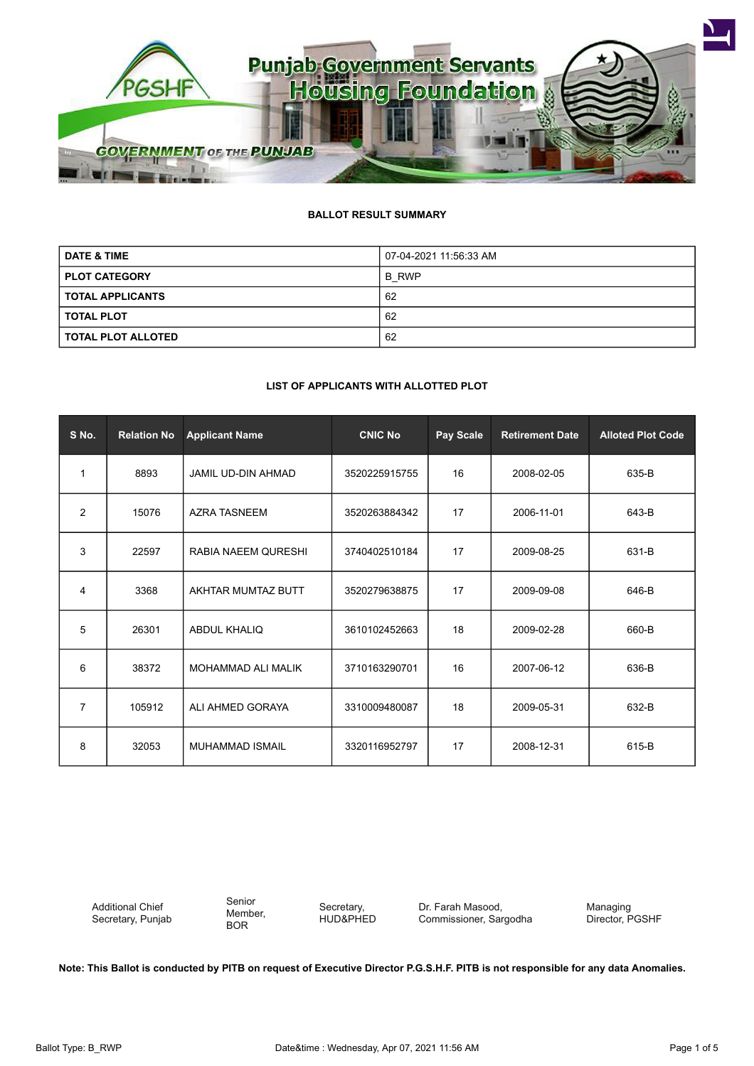

# **BALLOT RESULT SUMMARY**

| <b>DATE &amp; TIME</b>    | 07-04-2021 11:56:33 AM |  |  |
|---------------------------|------------------------|--|--|
| <b>PLOT CATEGORY</b>      | B RWP                  |  |  |
| <b>TOTAL APPLICANTS</b>   | 62                     |  |  |
| <b>TOTAL PLOT</b>         | 62                     |  |  |
| <b>TOTAL PLOT ALLOTED</b> | 62                     |  |  |

#### **LIST OF APPLICANTS WITH ALLOTTED PLOT**

| S No.          | <b>Relation No</b> | <b>Applicant Name</b>     | <b>CNIC No</b> | Pay Scale | <b>Retirement Date</b> | <b>Alloted Plot Code</b> |
|----------------|--------------------|---------------------------|----------------|-----------|------------------------|--------------------------|
| $\mathbf 1$    | 8893               | <b>JAMIL UD-DIN AHMAD</b> | 3520225915755  | 16        | 2008-02-05             | 635-B                    |
| $\overline{2}$ | 15076              | <b>AZRA TASNEEM</b>       | 3520263884342  | 17        | 2006-11-01             | 643-B                    |
| 3              | 22597              | RABIA NAEEM QURESHI       | 3740402510184  | 17        | 2009-08-25             | 631-B                    |
| 4              | 3368               | AKHTAR MUMTAZ BUTT        | 3520279638875  | 17        | 2009-09-08             | 646-B                    |
| 5              | 26301              | ABDUL KHALIQ              | 3610102452663  | 18        | 2009-02-28             | 660-B                    |
| 6              | 38372              | MOHAMMAD ALI MALIK        | 3710163290701  | 16        | 2007-06-12             | 636-B                    |
| 7              | 105912             | ALI AHMED GORAYA          | 3310009480087  | 18        | 2009-05-31             | 632-B                    |
| 8              | 32053              | <b>MUHAMMAD ISMAIL</b>    | 3320116952797  | 17        | 2008-12-31             | 615-B                    |

Additional Chief Secretary, Punjab Senior Member, BOR

Secretary, HUD&PHED Dr. Farah Masood, Commissioner, Sargodha

Managing Director, PGSHF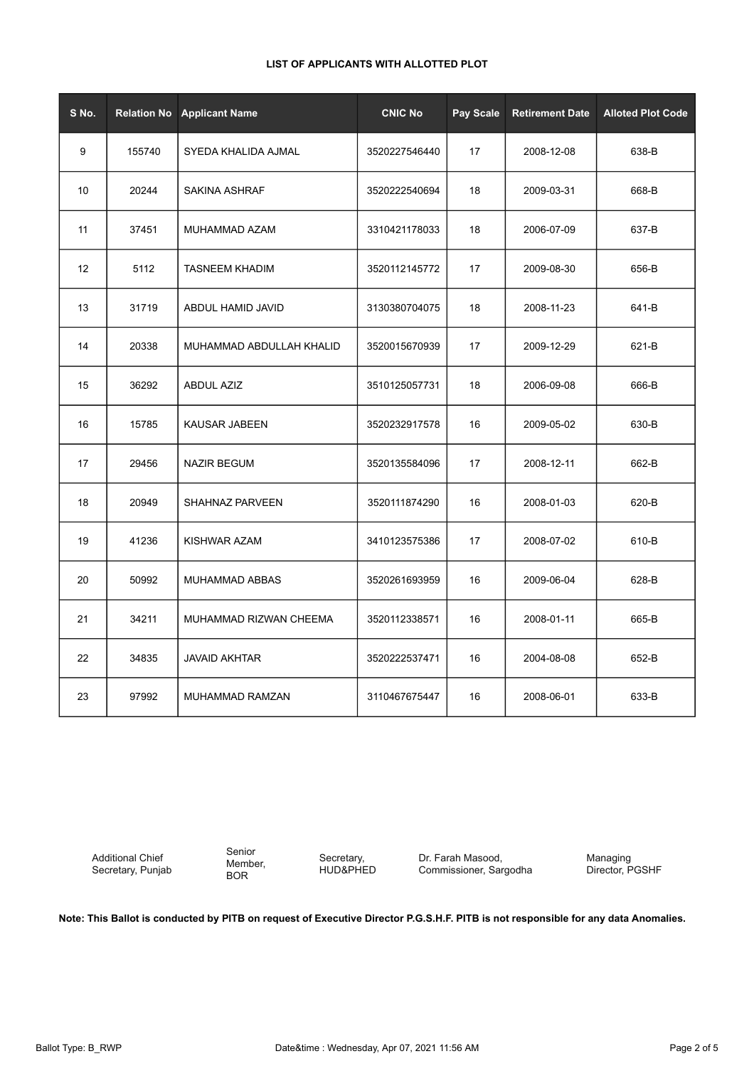| S No. | <b>Relation No</b> | <b>Applicant Name</b>    | <b>CNIC No</b> | Pay Scale | <b>Retirement Date</b> | <b>Alloted Plot Code</b> |
|-------|--------------------|--------------------------|----------------|-----------|------------------------|--------------------------|
| 9     | 155740             | SYEDA KHALIDA AJMAL      | 3520227546440  | 17        | 2008-12-08             | 638-B                    |
| 10    | 20244              | SAKINA ASHRAF            | 3520222540694  | 18        | 2009-03-31             | 668-B                    |
| 11    | 37451              | MUHAMMAD AZAM            | 3310421178033  | 18        | 2006-07-09             | 637-B                    |
| 12    | 5112               | <b>TASNEEM KHADIM</b>    | 3520112145772  | 17        | 2009-08-30             | 656-B                    |
| 13    | 31719              | ABDUL HAMID JAVID        | 3130380704075  | 18        | 2008-11-23             | 641-B                    |
| 14    | 20338              | MUHAMMAD ABDULLAH KHALID | 3520015670939  | 17        | 2009-12-29             | 621-B                    |
| 15    | 36292              | <b>ABDUL AZIZ</b>        | 3510125057731  | 18        | 2006-09-08             | 666-B                    |
| 16    | 15785              | <b>KAUSAR JABEEN</b>     | 3520232917578  | 16        | 2009-05-02             | 630-B                    |
| 17    | 29456              | <b>NAZIR BEGUM</b>       | 3520135584096  | 17        | 2008-12-11             | 662-B                    |
| 18    | 20949              | SHAHNAZ PARVEEN          | 3520111874290  | 16        | 2008-01-03             | 620-B                    |
| 19    | 41236              | KISHWAR AZAM             | 3410123575386  | 17        | 2008-07-02             | 610-B                    |
| 20    | 50992              | MUHAMMAD ABBAS           | 3520261693959  | 16        | 2009-06-04             | 628-B                    |
| 21    | 34211              | MUHAMMAD RIZWAN CHEEMA   | 3520112338571  | 16        | 2008-01-11             | 665-B                    |
| 22    | 34835              | <b>JAVAID AKHTAR</b>     | 3520222537471  | 16        | 2004-08-08             | 652-B                    |
| 23    | 97992              | MUHAMMAD RAMZAN          | 3110467675447  | 16        | 2008-06-01             | 633-B                    |

Additional Chief Secretary, Punjab

Senior Member, BOR

Secretary, HUD&PHED

Dr. Farah Masood, Commissioner, Sargodha Managing Director, PGSHF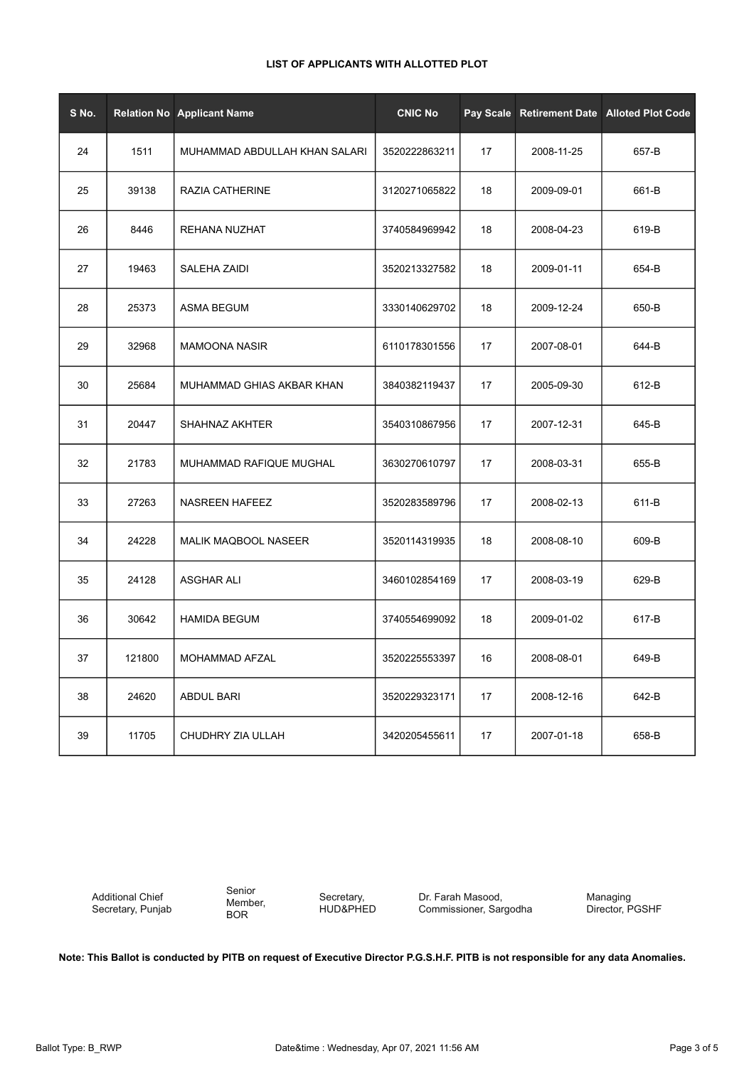| S No. |        | <b>Relation No Applicant Name</b> | <b>CNIC No</b> |    |            | Pay Scale Retirement Date Alloted Plot Code |
|-------|--------|-----------------------------------|----------------|----|------------|---------------------------------------------|
| 24    | 1511   | MUHAMMAD ABDULLAH KHAN SALARI     | 3520222863211  | 17 | 2008-11-25 | 657-B                                       |
| 25    | 39138  | RAZIA CATHERINE                   | 3120271065822  | 18 | 2009-09-01 | 661-B                                       |
| 26    | 8446   | <b>REHANA NUZHAT</b>              | 3740584969942  | 18 | 2008-04-23 | 619-B                                       |
| 27    | 19463  | SALEHA ZAIDI                      | 3520213327582  | 18 | 2009-01-11 | 654-B                                       |
| 28    | 25373  | <b>ASMA BEGUM</b>                 | 3330140629702  | 18 | 2009-12-24 | 650-B                                       |
| 29    | 32968  | <b>MAMOONA NASIR</b>              | 6110178301556  | 17 | 2007-08-01 | 644-B                                       |
| 30    | 25684  | MUHAMMAD GHIAS AKBAR KHAN         | 3840382119437  | 17 | 2005-09-30 | 612-B                                       |
| 31    | 20447  | SHAHNAZ AKHTER                    | 3540310867956  | 17 | 2007-12-31 | 645-B                                       |
| 32    | 21783  | MUHAMMAD RAFIQUE MUGHAL           | 3630270610797  | 17 | 2008-03-31 | 655-B                                       |
| 33    | 27263  | NASREEN HAFEEZ                    | 3520283589796  | 17 | 2008-02-13 | 611-B                                       |
| 34    | 24228  | <b>MALIK MAQBOOL NASEER</b>       | 3520114319935  | 18 | 2008-08-10 | 609-B                                       |
| 35    | 24128  | <b>ASGHAR ALI</b>                 | 3460102854169  | 17 | 2008-03-19 | 629-B                                       |
| 36    | 30642  | <b>HAMIDA BEGUM</b>               | 3740554699092  | 18 | 2009-01-02 | 617-B                                       |
| 37    | 121800 | MOHAMMAD AFZAL                    | 3520225553397  | 16 | 2008-08-01 | 649-B                                       |
| 38    | 24620  | <b>ABDUL BARI</b>                 | 3520229323171  | 17 | 2008-12-16 | 642-B                                       |
| 39    | 11705  | CHUDHRY ZIA ULLAH                 | 3420205455611  | 17 | 2007-01-18 | 658-B                                       |

Additional Chief Secretary, Punjab Senior Member, BOR

Secretary, HUD&PHED

Dr. Farah Masood, Commissioner, Sargodha Managing Director, PGSHF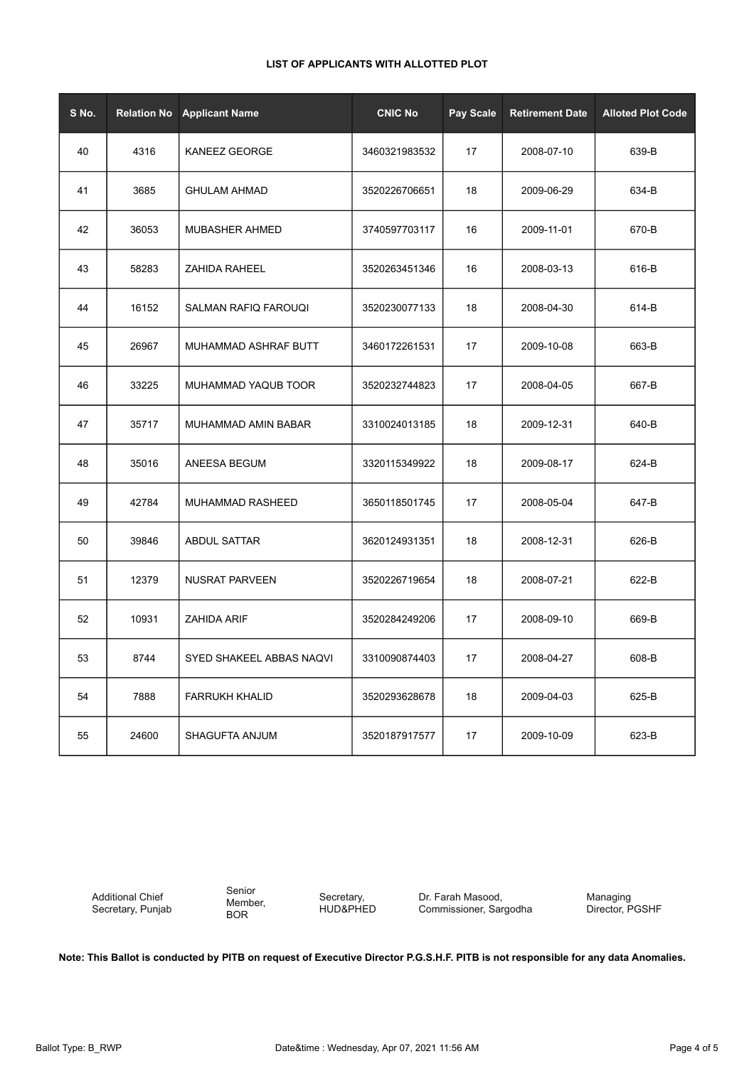| S No. | <b>Relation No</b> | <b>Applicant Name</b>    | <b>CNIC No</b> | <b>Pay Scale</b> | <b>Retirement Date</b> | <b>Alloted Plot Code</b> |
|-------|--------------------|--------------------------|----------------|------------------|------------------------|--------------------------|
| 40    | 4316               | <b>KANEEZ GEORGE</b>     | 3460321983532  | 17               | 2008-07-10             | 639-B                    |
| 41    | 3685               | <b>GHULAM AHMAD</b>      | 3520226706651  | 18               | 2009-06-29             | 634-B                    |
| 42    | 36053              | <b>MUBASHER AHMED</b>    | 3740597703117  | 16               | 2009-11-01             | 670-B                    |
| 43    | 58283              | <b>ZAHIDA RAHEEL</b>     | 3520263451346  | 16               | 2008-03-13             | 616-B                    |
| 44    | 16152              | SALMAN RAFIQ FAROUQI     | 3520230077133  | 18               | 2008-04-30             | 614-B                    |
| 45    | 26967              | MUHAMMAD ASHRAF BUTT     | 3460172261531  | 17               | 2009-10-08             | 663-B                    |
| 46    | 33225              | MUHAMMAD YAQUB TOOR      | 3520232744823  | 17               | 2008-04-05             | 667-B                    |
| 47    | 35717              | MUHAMMAD AMIN BABAR      | 3310024013185  | 18               | 2009-12-31             | 640-B                    |
| 48    | 35016              | ANEESA BEGUM             | 3320115349922  | 18               | 2009-08-17             | 624-B                    |
| 49    | 42784              | MUHAMMAD RASHEED         | 3650118501745  | 17               | 2008-05-04             | 647-B                    |
| 50    | 39846              | <b>ABDUL SATTAR</b>      | 3620124931351  | 18               | 2008-12-31             | 626-B                    |
| 51    | 12379              | <b>NUSRAT PARVEEN</b>    | 3520226719654  | 18               | 2008-07-21             | 622-B                    |
| 52    | 10931              | <b>ZAHIDA ARIF</b>       | 3520284249206  | 17               | 2008-09-10             | 669-B                    |
| 53    | 8744               | SYED SHAKEEL ABBAS NAQVI | 3310090874403  | 17               | 2008-04-27             | 608-B                    |
| 54    | 7888               | <b>FARRUKH KHALID</b>    | 3520293628678  | 18               | 2009-04-03             | 625-B                    |
| 55    | 24600              | SHAGUFTA ANJUM           | 3520187917577  | 17               | 2009-10-09             | 623-B                    |

Additional Chief Secretary, Punjab Senior Member, BOR

Secretary, HUD&PHED Dr. Farah Masood, Commissioner, Sargodha Managing Director, PGSHF